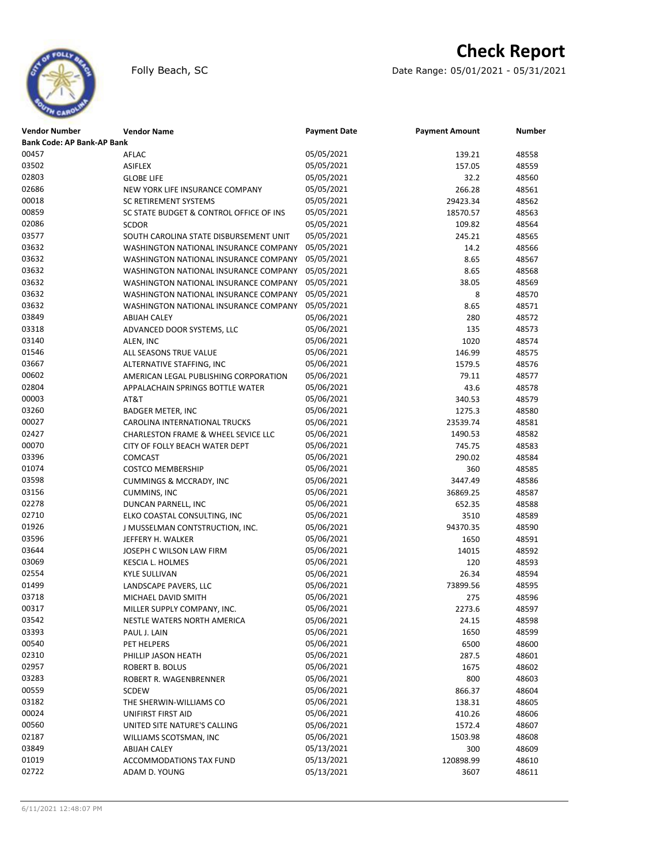# **Check Report**





| <b>Vendor Number</b>              | <b>Vendor Name</b>                      | <b>Payment Date</b> | <b>Payment Amount</b> | Number |
|-----------------------------------|-----------------------------------------|---------------------|-----------------------|--------|
| <b>Bank Code: AP Bank-AP Bank</b> |                                         |                     |                       |        |
| 00457                             | AFLAC                                   | 05/05/2021          | 139.21                | 48558  |
| 03502                             | <b>ASIFLEX</b>                          | 05/05/2021          | 157.05                | 48559  |
| 02803                             | <b>GLOBE LIFE</b>                       | 05/05/2021          | 32.2                  | 48560  |
| 02686                             | NEW YORK LIFE INSURANCE COMPANY         | 05/05/2021          | 266.28                | 48561  |
| 00018                             | SC RETIREMENT SYSTEMS                   | 05/05/2021          | 29423.34              | 48562  |
| 00859                             | SC STATE BUDGET & CONTROL OFFICE OF INS | 05/05/2021          | 18570.57              | 48563  |
| 02086                             | <b>SCDOR</b>                            | 05/05/2021          | 109.82                | 48564  |
| 03577                             | SOUTH CAROLINA STATE DISBURSEMENT UNIT  | 05/05/2021          | 245.21                | 48565  |
| 03632                             | WASHINGTON NATIONAL INSURANCE COMPANY   | 05/05/2021          | 14.2                  | 48566  |
| 03632                             | WASHINGTON NATIONAL INSURANCE COMPANY   | 05/05/2021          | 8.65                  | 48567  |
| 03632                             | WASHINGTON NATIONAL INSURANCE COMPANY   | 05/05/2021          | 8.65                  | 48568  |
| 03632                             | WASHINGTON NATIONAL INSURANCE COMPANY   | 05/05/2021          | 38.05                 | 48569  |
| 03632                             | WASHINGTON NATIONAL INSURANCE COMPANY   | 05/05/2021          | 8                     | 48570  |
| 03632                             | WASHINGTON NATIONAL INSURANCE COMPANY   | 05/05/2021          | 8.65                  | 48571  |
| 03849                             | <b>ABIJAH CALEY</b>                     | 05/06/2021          | 280                   | 48572  |
| 03318                             | ADVANCED DOOR SYSTEMS, LLC              | 05/06/2021          | 135                   | 48573  |
| 03140                             | ALEN, INC                               | 05/06/2021          | 1020                  | 48574  |
| 01546                             | ALL SEASONS TRUE VALUE                  | 05/06/2021          | 146.99                | 48575  |
| 03667                             | ALTERNATIVE STAFFING, INC               | 05/06/2021          | 1579.5                | 48576  |
| 00602                             | AMERICAN LEGAL PUBLISHING CORPORATION   | 05/06/2021          | 79.11                 | 48577  |
| 02804                             | APPALACHAIN SPRINGS BOTTLE WATER        | 05/06/2021          | 43.6                  | 48578  |
| 00003                             | AT&T                                    | 05/06/2021          | 340.53                | 48579  |
| 03260                             | <b>BADGER METER, INC</b>                | 05/06/2021          | 1275.3                | 48580  |
| 00027                             | <b>CAROLINA INTERNATIONAL TRUCKS</b>    | 05/06/2021          | 23539.74              | 48581  |
| 02427                             | CHARLESTON FRAME & WHEEL SEVICE LLC     | 05/06/2021          | 1490.53               | 48582  |
| 00070                             | CITY OF FOLLY BEACH WATER DEPT          | 05/06/2021          | 745.75                | 48583  |
| 03396                             | <b>COMCAST</b>                          | 05/06/2021          | 290.02                | 48584  |
| 01074                             |                                         | 05/06/2021          | 360                   | 48585  |
| 03598                             | <b>COSTCO MEMBERSHIP</b>                | 05/06/2021          |                       |        |
| 03156                             | <b>CUMMINGS &amp; MCCRADY, INC</b>      | 05/06/2021          | 3447.49               | 48586  |
|                                   | <b>CUMMINS, INC</b>                     |                     | 36869.25              | 48587  |
| 02278                             | DUNCAN PARNELL, INC                     | 05/06/2021          | 652.35                | 48588  |
| 02710                             | ELKO COASTAL CONSULTING, INC            | 05/06/2021          | 3510                  | 48589  |
| 01926                             | J MUSSELMAN CONTSTRUCTION, INC.         | 05/06/2021          | 94370.35              | 48590  |
| 03596                             | JEFFERY H. WALKER                       | 05/06/2021          | 1650                  | 48591  |
| 03644                             | JOSEPH C WILSON LAW FIRM                | 05/06/2021          | 14015                 | 48592  |
| 03069                             | KESCIA L. HOLMES                        | 05/06/2021          | 120                   | 48593  |
| 02554                             | <b>KYLE SULLIVAN</b>                    | 05/06/2021          | 26.34                 | 48594  |
| 01499                             | LANDSCAPE PAVERS, LLC                   | 05/06/2021          | 73899.56              | 48595  |
| 03718                             | MICHAEL DAVID SMITH                     | 05/06/2021          | 275                   | 48596  |
| 00317                             | MILLER SUPPLY COMPANY, INC.             | 05/06/2021          | 2273.6                | 48597  |
| 03542                             | NESTLE WATERS NORTH AMERICA             | 05/06/2021          | 24.15                 | 48598  |
| 03393                             | PAUL J. LAIN                            | 05/06/2021          | 1650                  | 48599  |
| 00540                             | PET HELPERS                             | 05/06/2021          | 6500                  | 48600  |
| 02310                             | PHILLIP JASON HEATH                     | 05/06/2021          | 287.5                 | 48601  |
| 02957                             | ROBERT B. BOLUS                         | 05/06/2021          | 1675                  | 48602  |
| 03283                             | ROBERT R. WAGENBRENNER                  | 05/06/2021          | 800                   | 48603  |
| 00559                             | <b>SCDEW</b>                            | 05/06/2021          | 866.37                | 48604  |
| 03182                             | THE SHERWIN-WILLIAMS CO                 | 05/06/2021          | 138.31                | 48605  |
| 00024                             | UNIFIRST FIRST AID                      | 05/06/2021          | 410.26                | 48606  |
| 00560                             | UNITED SITE NATURE'S CALLING            | 05/06/2021          | 1572.4                | 48607  |
| 02187                             | WILLIAMS SCOTSMAN, INC                  | 05/06/2021          | 1503.98               | 48608  |
| 03849                             | <b>ABIJAH CALEY</b>                     | 05/13/2021          | 300                   | 48609  |
| 01019                             | ACCOMMODATIONS TAX FUND                 | 05/13/2021          | 120898.99             | 48610  |
| 02722                             | ADAM D. YOUNG                           | 05/13/2021          | 3607                  | 48611  |
|                                   |                                         |                     |                       |        |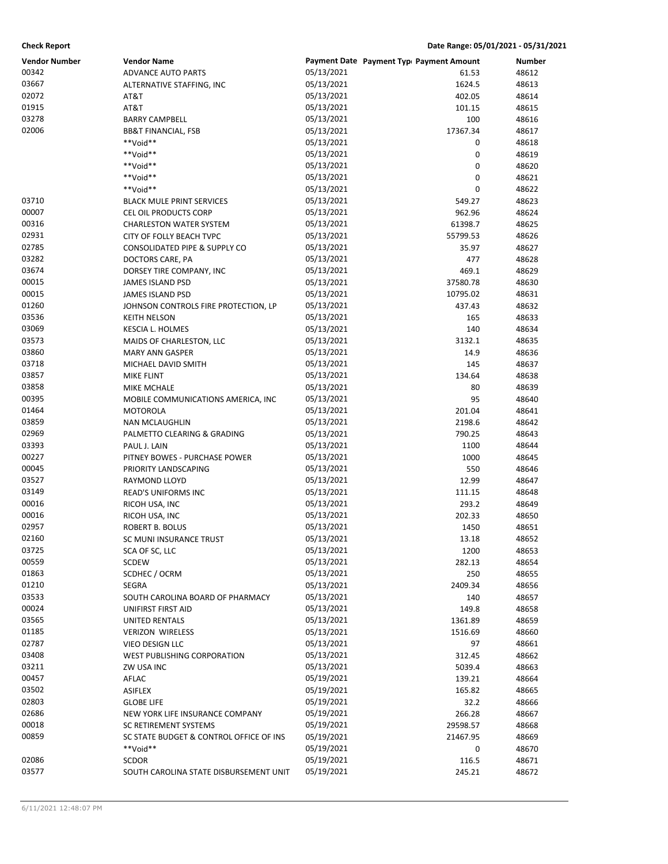### **Check Report Date Range: 05/01/2021 - 05/31/2021**

| <b>Vendor Number</b> | <b>Vendor Name</b>                       |                          | Payment Date Payment Typ Payment Amount | Number         |
|----------------------|------------------------------------------|--------------------------|-----------------------------------------|----------------|
| 00342                | ADVANCE AUTO PARTS                       | 05/13/2021               | 61.53                                   | 48612          |
| 03667                | ALTERNATIVE STAFFING, INC                | 05/13/2021               | 1624.5                                  | 48613          |
| 02072                | AT&T                                     | 05/13/2021               | 402.05                                  | 48614          |
| 01915                | AT&T                                     | 05/13/2021               | 101.15                                  | 48615          |
| 03278                | <b>BARRY CAMPBELL</b>                    | 05/13/2021               | 100                                     | 48616          |
| 02006                | <b>BB&amp;T FINANCIAL, FSB</b>           | 05/13/2021               | 17367.34                                | 48617          |
|                      | **Void**                                 | 05/13/2021               | 0                                       | 48618          |
|                      | **Void**                                 | 05/13/2021               | 0                                       | 48619          |
|                      | **Void**                                 | 05/13/2021               | 0                                       | 48620          |
|                      | **Void**                                 | 05/13/2021               | 0                                       | 48621          |
|                      | **Void**                                 | 05/13/2021               | 0                                       | 48622          |
| 03710                | <b>BLACK MULE PRINT SERVICES</b>         | 05/13/2021               | 549.27                                  | 48623          |
| 00007                | CEL OIL PRODUCTS CORP                    | 05/13/2021               | 962.96                                  | 48624          |
| 00316                | <b>CHARLESTON WATER SYSTEM</b>           | 05/13/2021               | 61398.7                                 | 48625          |
| 02931                | CITY OF FOLLY BEACH TVPC                 | 05/13/2021               | 55799.53                                | 48626          |
| 02785                | CONSOLIDATED PIPE & SUPPLY CO            | 05/13/2021               | 35.97                                   | 48627          |
| 03282                | DOCTORS CARE, PA                         | 05/13/2021               | 477                                     | 48628          |
| 03674                | DORSEY TIRE COMPANY, INC                 | 05/13/2021               | 469.1                                   | 48629          |
| 00015                | <b>JAMES ISLAND PSD</b>                  | 05/13/2021               | 37580.78                                | 48630          |
| 00015                | JAMES ISLAND PSD                         | 05/13/2021               | 10795.02                                | 48631          |
| 01260                | JOHNSON CONTROLS FIRE PROTECTION, LP     | 05/13/2021               | 437.43                                  | 48632          |
| 03536                | <b>KEITH NELSON</b>                      | 05/13/2021               | 165                                     | 48633          |
| 03069                | <b>KESCIA L. HOLMES</b>                  | 05/13/2021               | 140                                     | 48634          |
| 03573                | MAIDS OF CHARLESTON, LLC                 | 05/13/2021               | 3132.1                                  | 48635          |
| 03860                | <b>MARY ANN GASPER</b>                   | 05/13/2021               | 14.9                                    | 48636          |
| 03718                | MICHAEL DAVID SMITH                      | 05/13/2021               | 145                                     | 48637          |
| 03857                | MIKE FLINT                               | 05/13/2021               | 134.64                                  | 48638          |
| 03858                | MIKE MCHALE                              | 05/13/2021               | 80                                      | 48639          |
| 00395<br>01464       | MOBILE COMMUNICATIONS AMERICA, INC       | 05/13/2021<br>05/13/2021 | 95<br>201.04                            | 48640<br>48641 |
| 03859                | <b>MOTOROLA</b><br><b>NAN MCLAUGHLIN</b> | 05/13/2021               | 2198.6                                  | 48642          |
| 02969                | PALMETTO CLEARING & GRADING              | 05/13/2021               | 790.25                                  | 48643          |
| 03393                | PAUL J. LAIN                             | 05/13/2021               | 1100                                    | 48644          |
| 00227                | PITNEY BOWES - PURCHASE POWER            | 05/13/2021               | 1000                                    | 48645          |
| 00045                | PRIORITY LANDSCAPING                     | 05/13/2021               | 550                                     | 48646          |
| 03527                | RAYMOND LLOYD                            | 05/13/2021               | 12.99                                   | 48647          |
| 03149                | <b>READ'S UNIFORMS INC</b>               | 05/13/2021               | 111.15                                  | 48648          |
| 00016                | RICOH USA, INC                           | 05/13/2021               | 293.2                                   | 48649          |
| 00016                | RICOH USA, INC                           | 05/13/2021               | 202.33                                  | 48650          |
| 02957                | ROBERT B. BOLUS                          | 05/13/2021               | 1450                                    | 48651          |
| 02160                | SC MUNI INSURANCE TRUST                  | 05/13/2021               | 13.18                                   | 48652          |
| 03725                | SCA OF SC, LLC                           | 05/13/2021               | 1200                                    | 48653          |
| 00559                | SCDEW                                    | 05/13/2021               | 282.13                                  | 48654          |
| 01863                | SCDHEC / OCRM                            | 05/13/2021               | 250                                     | 48655          |
| 01210                | <b>SEGRA</b>                             | 05/13/2021               | 2409.34                                 | 48656          |
| 03533                | SOUTH CAROLINA BOARD OF PHARMACY         | 05/13/2021               | 140                                     | 48657          |
| 00024                | UNIFIRST FIRST AID                       | 05/13/2021               | 149.8                                   | 48658          |
| 03565                | UNITED RENTALS                           | 05/13/2021               | 1361.89                                 | 48659          |
| 01185                | <b>VERIZON WIRELESS</b>                  | 05/13/2021               | 1516.69                                 | 48660          |
| 02787                | <b>VIEO DESIGN LLC</b>                   | 05/13/2021               | 97                                      | 48661          |
| 03408                | <b>WEST PUBLISHING CORPORATION</b>       | 05/13/2021               | 312.45                                  | 48662          |
| 03211                | ZW USA INC                               | 05/13/2021               | 5039.4                                  | 48663          |
| 00457                | AFLAC                                    | 05/19/2021               | 139.21                                  | 48664          |
| 03502                | <b>ASIFLEX</b>                           | 05/19/2021               | 165.82                                  | 48665          |
| 02803                | <b>GLOBE LIFE</b>                        | 05/19/2021               | 32.2                                    | 48666          |
| 02686                | NEW YORK LIFE INSURANCE COMPANY          | 05/19/2021               | 266.28                                  | 48667          |
| 00018                | SC RETIREMENT SYSTEMS                    | 05/19/2021               | 29598.57                                | 48668          |
| 00859                | SC STATE BUDGET & CONTROL OFFICE OF INS  | 05/19/2021               | 21467.95                                | 48669          |
|                      | **Void**                                 | 05/19/2021               | 0                                       | 48670          |
| 02086                | <b>SCDOR</b>                             | 05/19/2021               | 116.5                                   | 48671          |
| 03577                | SOUTH CAROLINA STATE DISBURSEMENT UNIT   | 05/19/2021               | 245.21                                  | 48672          |